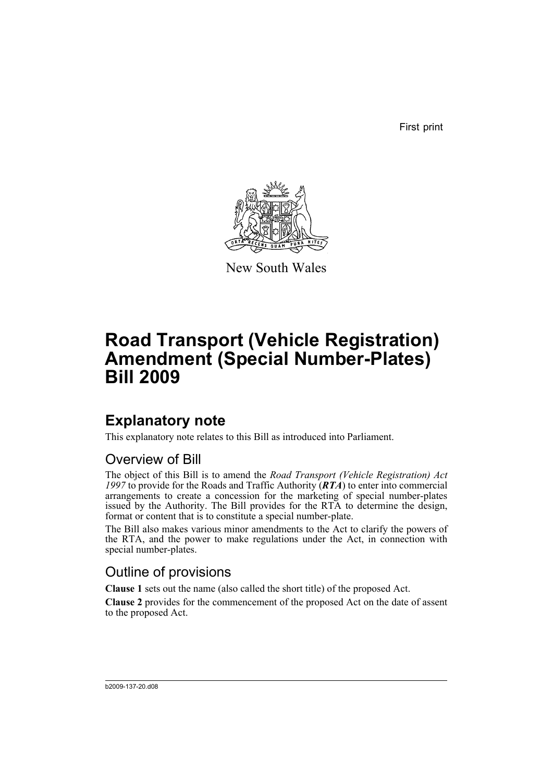First print



New South Wales

# **Road Transport (Vehicle Registration) Amendment (Special Number-Plates) Bill 2009**

## **Explanatory note**

This explanatory note relates to this Bill as introduced into Parliament.

## Overview of Bill

The object of this Bill is to amend the *Road Transport (Vehicle Registration) Act 1997* to provide for the Roads and Traffic Authority (*RTA*) to enter into commercial arrangements to create a concession for the marketing of special number-plates issued by the Authority. The Bill provides for the RTA to determine the design, format or content that is to constitute a special number-plate.

The Bill also makes various minor amendments to the Act to clarify the powers of the RTA, and the power to make regulations under the Act, in connection with special number-plates.

## Outline of provisions

**Clause 1** sets out the name (also called the short title) of the proposed Act.

**Clause 2** provides for the commencement of the proposed Act on the date of assent to the proposed Act.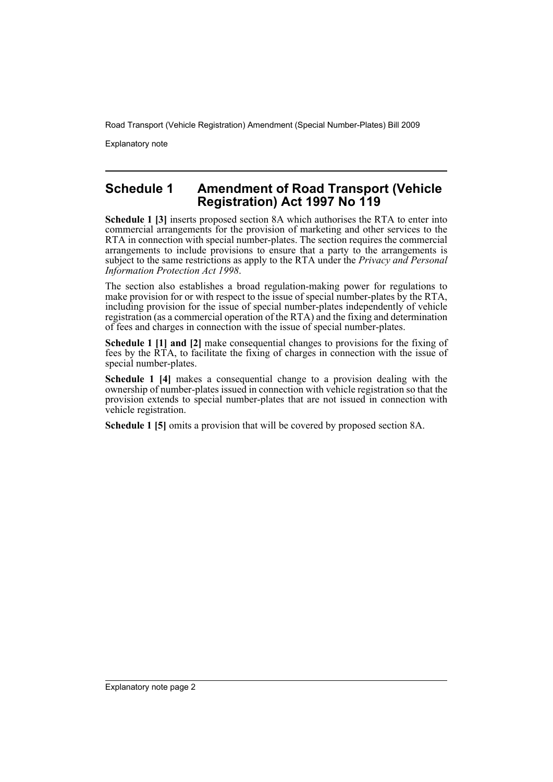Road Transport (Vehicle Registration) Amendment (Special Number-Plates) Bill 2009

Explanatory note

### **Schedule 1 Amendment of Road Transport (Vehicle Registration) Act 1997 No 119**

**Schedule 1 [3]** inserts proposed section 8A which authorises the RTA to enter into commercial arrangements for the provision of marketing and other services to the RTA in connection with special number-plates. The section requires the commercial arrangements to include provisions to ensure that a party to the arrangements is subject to the same restrictions as apply to the RTA under the *Privacy and Personal Information Protection Act 1998*.

The section also establishes a broad regulation-making power for regulations to make provision for or with respect to the issue of special number-plates by the RTA, including provision for the issue of special number-plates independently of vehicle registration (as a commercial operation of the RTA) and the fixing and determination of fees and charges in connection with the issue of special number-plates.

**Schedule 1 [1] and [2]** make consequential changes to provisions for the fixing of fees by the RTA, to facilitate the fixing of charges in connection with the issue of special number-plates.

**Schedule 1 [4]** makes a consequential change to a provision dealing with the ownership of number-plates issued in connection with vehicle registration so that the provision extends to special number-plates that are not issued in connection with vehicle registration.

**Schedule 1 [5]** omits a provision that will be covered by proposed section 8A.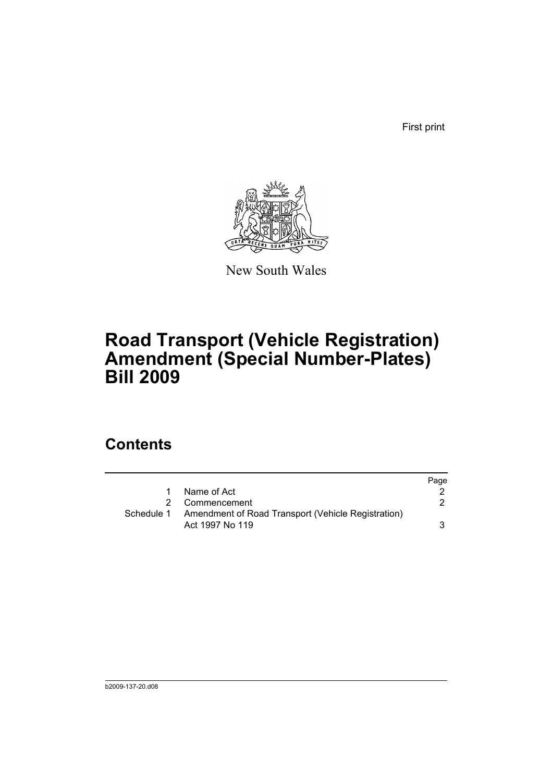First print



New South Wales

## **Road Transport (Vehicle Registration) Amendment (Special Number-Plates) Bill 2009**

## **Contents**

|            |                                                                       | Page |
|------------|-----------------------------------------------------------------------|------|
| 1          | Name of Act                                                           |      |
|            | 2 Commencement                                                        |      |
| Schedule 1 | Amendment of Road Transport (Vehicle Registration)<br>Act 1997 No 119 | 3    |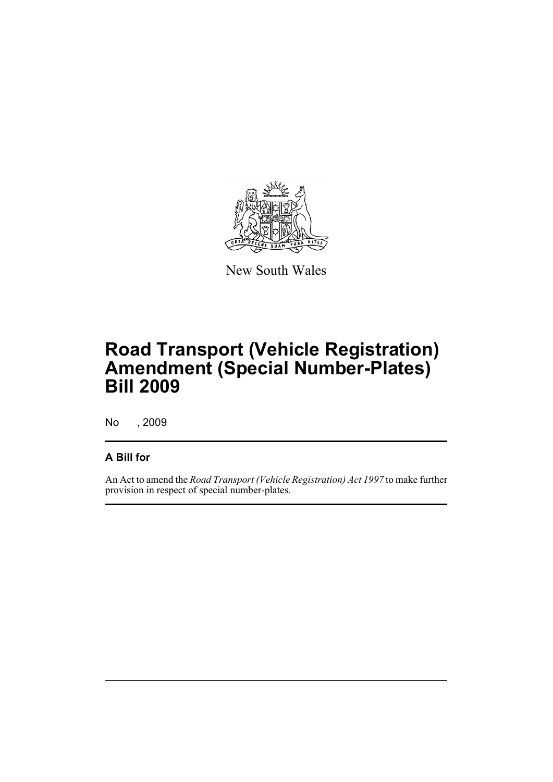

New South Wales

# **Road Transport (Vehicle Registration) Amendment (Special Number-Plates) Bill 2009**

No , 2009

### **A Bill for**

An Act to amend the *Road Transport (Vehicle Registration) Act 1997* to make further provision in respect of special number-plates.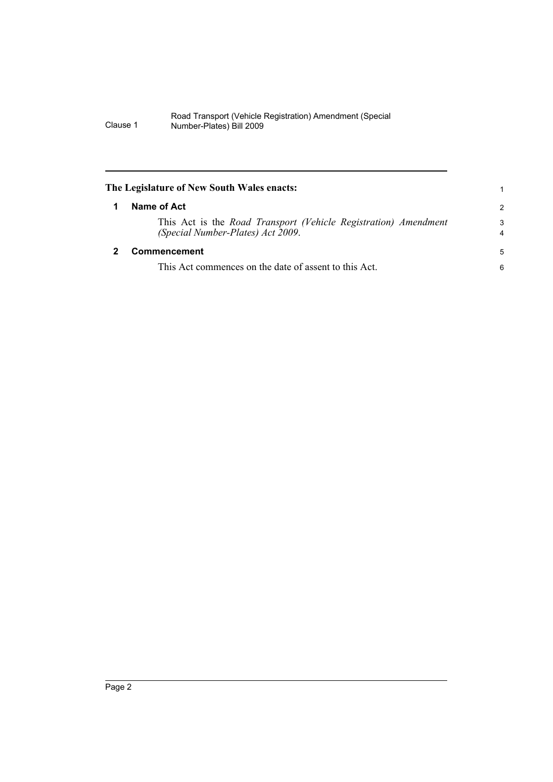#### Road Transport (Vehicle Registration) Amendment (Special Clause 1 Number-Plates) Bill 2009

<span id="page-5-1"></span><span id="page-5-0"></span>

| The Legislature of New South Wales enacts:                                                           |                     |
|------------------------------------------------------------------------------------------------------|---------------------|
| Name of Act                                                                                          | $\mathcal{P}$       |
| This Act is the Road Transport (Vehicle Registration) Amendment<br>(Special Number-Plates) Act 2009. | 3<br>$\overline{4}$ |
| <b>Commencement</b>                                                                                  | 5                   |
| This Act commences on the date of assent to this Act.                                                | 6                   |
|                                                                                                      |                     |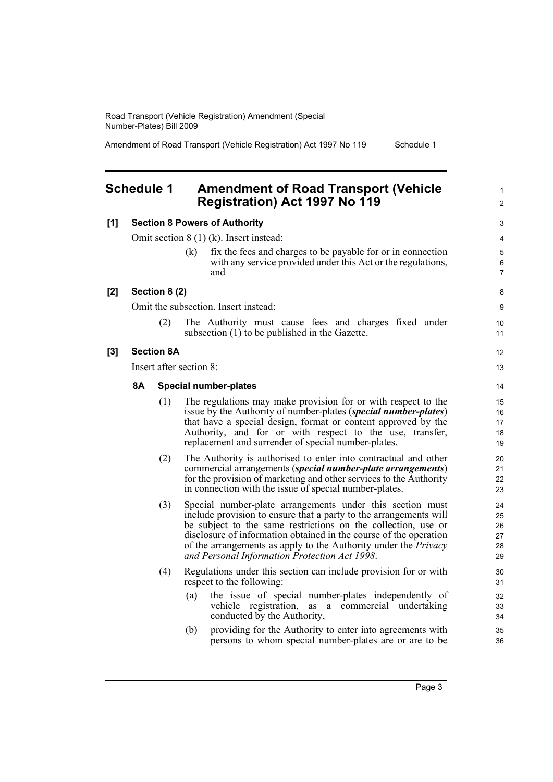Road Transport (Vehicle Registration) Amendment (Special Number-Plates) Bill 2009

Amendment of Road Transport (Vehicle Registration) Act 1997 No 119 Schedule 1

1 2

### <span id="page-6-0"></span>**Schedule 1 Amendment of Road Transport (Vehicle Registration) Act 1997 No 119**

| [1]   | <b>Section 8 Powers of Authority</b>      |                   |            | 3                                                                                                                                                                                                                                                                                                                                                                                               |                                        |
|-------|-------------------------------------------|-------------------|------------|-------------------------------------------------------------------------------------------------------------------------------------------------------------------------------------------------------------------------------------------------------------------------------------------------------------------------------------------------------------------------------------------------|----------------------------------------|
|       | Omit section $8(1)(k)$ . Insert instead:  |                   |            | 4                                                                                                                                                                                                                                                                                                                                                                                               |                                        |
|       |                                           |                   | (k)        | fix the fees and charges to be payable for or in connection<br>with any service provided under this Act or the regulations,<br>and                                                                                                                                                                                                                                                              | 5<br>6<br>$\overline{7}$               |
| [2]   | Section 8 (2)                             |                   |            |                                                                                                                                                                                                                                                                                                                                                                                                 | 8                                      |
|       | Omit the subsection. Insert instead:      |                   |            |                                                                                                                                                                                                                                                                                                                                                                                                 | 9                                      |
|       |                                           | (2)               |            | The Authority must cause fees and charges fixed under<br>subsection (1) to be published in the Gazette.                                                                                                                                                                                                                                                                                         | 10<br>11                               |
| $[3]$ |                                           | <b>Section 8A</b> |            |                                                                                                                                                                                                                                                                                                                                                                                                 | 12                                     |
|       | Insert after section 8:                   |                   |            | 13                                                                                                                                                                                                                                                                                                                                                                                              |                                        |
|       | <b>8A</b><br><b>Special number-plates</b> |                   |            |                                                                                                                                                                                                                                                                                                                                                                                                 | 14                                     |
|       |                                           | (1)               |            | The regulations may make provision for or with respect to the<br>issue by the Authority of number-plates (special number-plates)<br>that have a special design, format or content approved by the<br>Authority, and for or with respect to the use, transfer,<br>replacement and surrender of special number-plates.                                                                            | 15<br>16<br>17<br>18<br>19             |
|       |                                           | (2)               |            | The Authority is authorised to enter into contractual and other<br>commercial arrangements (special number-plate arrangements)<br>for the provision of marketing and other services to the Authority<br>in connection with the issue of special number-plates.                                                                                                                                  | 20<br>21<br>22<br>23                   |
|       |                                           | (3)               |            | Special number-plate arrangements under this section must<br>include provision to ensure that a party to the arrangements will<br>be subject to the same restrictions on the collection, use or<br>disclosure of information obtained in the course of the operation<br>of the arrangements as apply to the Authority under the <i>Privacy</i><br>and Personal Information Protection Act 1998. | 24<br>25<br>26<br>27<br>28<br>29       |
|       |                                           | (4)               | (a)<br>(b) | Regulations under this section can include provision for or with<br>respect to the following:<br>the issue of special number-plates independently of<br>vehicle registration, as a commercial undertaking<br>conducted by the Authority,<br>providing for the Authority to enter into agreements with<br>persons to whom special number-plates are or are to be                                 | 30<br>31<br>32<br>33<br>34<br>35<br>36 |
|       |                                           |                   |            |                                                                                                                                                                                                                                                                                                                                                                                                 |                                        |